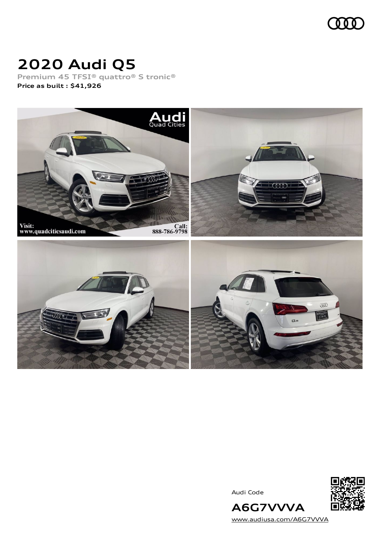

### **2020 Audi Q5**

**Premium 45 TFSI® quattro® S tronic® Price as built [:](#page-8-0) \$41,926**



Audi Code



[www.audiusa.com/A6G7VVVA](https://www.audiusa.com/A6G7VVVA)

**A6G7VVVA**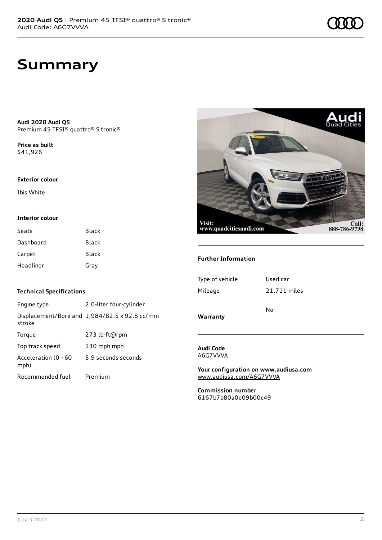### **Summary**

**Audi 2020 Audi Q5** Premium 45 TFSI® quattro® S tronic®

**Price as buil[t](#page-8-0)** \$41,926

#### **Exterior colour**

Ibis White

#### **Interior colour**

| Seats     | Black |
|-----------|-------|
| Dashboard | Black |
| Carpet    | Black |
| Headliner | Gray  |

# Visit: Call:<br>888-786-9798 www.quadcitiesaudi.com

#### **Further Information**

| Type of vehicle | Used car     |
|-----------------|--------------|
| Mileage         | 21,711 miles |
|                 | No           |
| Warranty        |              |

#### **Audi Code** A6G7VVVA

**Your configuration on www.audiusa.com** [www.audiusa.com/A6G7VVVA](https://www.audiusa.com/A6G7VVVA)

**Commission number** 6167b7b80a0e09b00c49

#### **Technical Specifications**

| Engine type                  | 2.0-liter four-cylinder                       |
|------------------------------|-----------------------------------------------|
| stroke                       | Displacement/Bore and 1,984/82.5 x 92.8 cc/mm |
| Torque                       | 273 lb-ft@rpm                                 |
| Top track speed              | 130 mph mph                                   |
| Acceleration (0 - 60<br>mph) | 5.9 seconds seconds                           |
| Recommended fuel             | Premium                                       |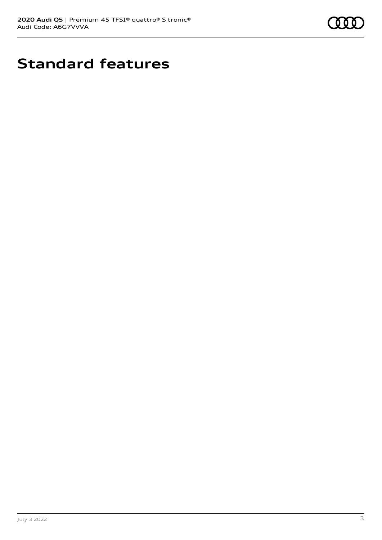

## **Standard features**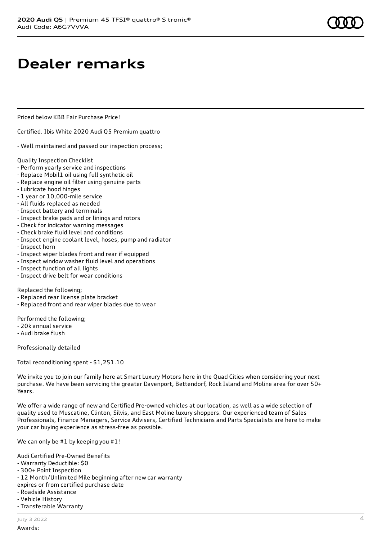### **Dealer remarks**

Priced below KBB Fair Purchase Price!

Certified. Ibis White 2020 Audi Q5 Premium quattro

- Well maintained and passed our inspection process;

Quality Inspection Checklist

- Perform yearly service and inspections
- Replace Mobil1 oil using full synthetic oil
- Replace engine oil filter using genuine parts
- Lubricate hood hinges
- 1 year or 10,000-mile service
- All fluids replaced as needed
- Inspect battery and terminals
- Inspect brake pads and or linings and rotors
- Check for indicator warning messages
- Check brake fluid level and conditions
- Inspect engine coolant level, hoses, pump and radiator
- Inspect horn
- Inspect wiper blades front and rear if equipped
- Inspect window washer fluid level and operations
- Inspect function of all lights
- Inspect drive belt for wear conditions

Replaced the following;

- Replaced rear license plate bracket
- Replaced front and rear wiper blades due to wear

Performed the following;

- 20k annual service
- Audi brake flush

Professionally detailed

Total reconditioning spent - \$1,251.10

We invite you to join our family here at Smart Luxury Motors here in the Quad Cities when considering your next purchase. We have been servicing the greater Davenport, Bettendorf, Rock Island and Moline area for over 50+ Years.

We offer a wide range of new and Certified Pre-owned vehicles at our location, as well as a wide selection of quality used to Muscatine, Clinton, Silvis, and East Moline luxury shoppers. Our experienced team of Sales Professionals, Finance Managers, Service Advisers, Certified Technicians and Parts Specialists are here to make your car buying experience as stress-free as possible.

We can only be #1 by keeping you #1!

Audi Certified Pre-Owned Benefits

- Warranty Deductible: \$0
- 300+ Point Inspection
- 12 Month/Unlimited Mile beginning after new car warranty
- expires or from certified purchase date
- Roadside Assistance
- Vehicle History
- Transferable Warranty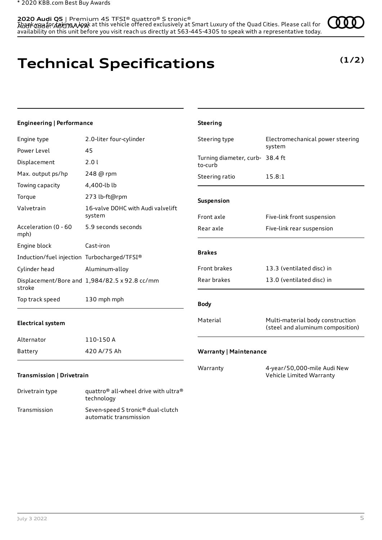Thank you for taking a look at this vehicle offered exclusively at Smart Luxury of the Quad Cities. Please call for availability on this unit before you visit reach us directly at 563-445-4305 to speak with a representative today. **2020 Audi Q5** | Premium 45 TFSI® quattro® S tronic® AU<del>U</del>IK COU EO AGCU AAAYAK

### **Technical Specifications**

technology Transmission Seven-speed S tronic® dual-clutch

automatic transmission

### **(1/2)**

| <b>Engineering   Performance</b>            |                                                              | <b>Steering</b>                            |                                                                      |
|---------------------------------------------|--------------------------------------------------------------|--------------------------------------------|----------------------------------------------------------------------|
| Engine type                                 | 2.0-liter four-cylinder                                      | Steering type                              | Electromechanical power steering                                     |
| Power Level                                 | 45                                                           |                                            | system                                                               |
| Displacement                                | 2.0 l                                                        | Turning diameter, curb- 38.4 ft<br>to-curb |                                                                      |
| Max. output ps/hp                           | 248 @ rpm                                                    | Steering ratio                             | 15.8:1                                                               |
| Towing capacity                             | 4,400-lb lb                                                  |                                            |                                                                      |
| Torque                                      | 273 lb-ft@rpm                                                | Suspension                                 |                                                                      |
| Valvetrain                                  | 16-valve DOHC with Audi valvelift<br>system                  | Front axle                                 | Five-link front suspension                                           |
| Acceleration (0 - 60<br>mph)                | 5.9 seconds seconds                                          | Rear axle                                  | Five-link rear suspension                                            |
| Engine block                                | Cast-iron                                                    |                                            |                                                                      |
| Induction/fuel injection Turbocharged/TFSI® |                                                              | <b>Brakes</b>                              |                                                                      |
| Cylinder head                               | Aluminum-alloy                                               | Front brakes                               | 13.3 (ventilated disc) in                                            |
| stroke                                      | Displacement/Bore and 1,984/82.5 x 92.8 cc/mm                | Rear brakes                                | 13.0 (ventilated disc) in                                            |
| Top track speed                             | 130 mph mph                                                  | <b>Body</b>                                |                                                                      |
| <b>Electrical system</b>                    |                                                              | Material                                   | Multi-material body construction<br>(steel and aluminum composition) |
| Alternator                                  | 110-150 A                                                    |                                            |                                                                      |
| Battery                                     | 420 A/75 Ah                                                  | <b>Warranty   Maintenance</b>              |                                                                      |
| Transmission   Drivetrain                   |                                                              | Warranty                                   | 4-year/50,000-mile Audi New<br>Vehicle Limited Warranty              |
| Drivetrain type                             | quattro <sup>®</sup> all-wheel drive with ultra <sup>®</sup> |                                            |                                                                      |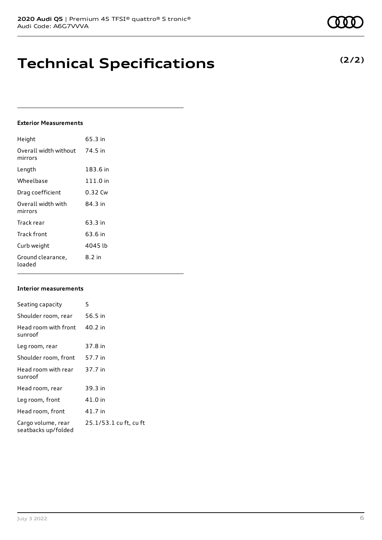### **Technical Specifications**

#### **Exterior Measurements**

| Height                           | 65.3 in    |
|----------------------------------|------------|
| Overall width without<br>mirrors | 74.5 in    |
| Length                           | 183.6 in   |
| Wheelbase                        | $111.0$ in |
| Drag coefficient                 | 0.32 Cw    |
| Overall width with<br>mirrors    | 84 3 in    |
| Track rear                       | 63.3 in    |
| Track front                      | 63.6 in    |
| Curb weight                      | 4045 lb    |
| Ground clearance,<br>loaded      | $8.2$ in   |

#### **Interior measurements**

| Seating capacity                          | 5                      |
|-------------------------------------------|------------------------|
| Shoulder room, rear                       | 56.5 in                |
| Head room with front<br>sunroof           | 40.2 in                |
| Leg room, rear                            | 37.8 in                |
| Shoulder room, front                      | 57.7 in                |
| Head room with rear<br>sunroof            | 37.7 in                |
| Head room, rear                           | 39.3 in                |
| Leg room, front                           | 41.0 in                |
| Head room, front                          | 41.7 in                |
| Cargo volume, rear<br>seatbacks up/folded | 25.1/53.1 cu ft, cu ft |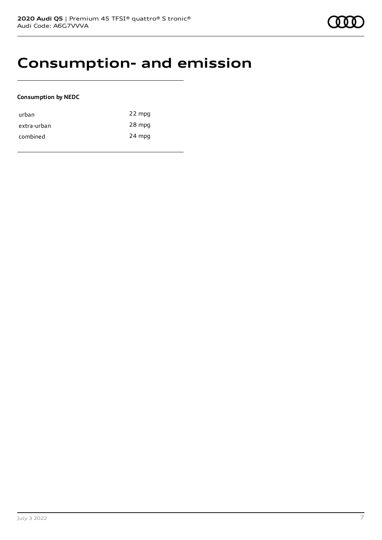### **Consumption- and emission**

#### **Consumption by NEDC**

| urban       | 22 mpg |
|-------------|--------|
| extra-urban | 28 mpg |
| combined    | 24 mpg |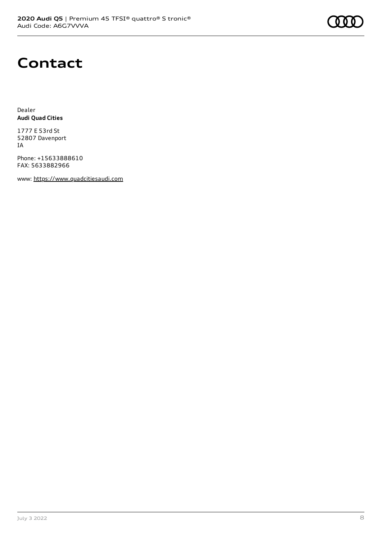### **Contact**

Dealer **Audi Quad Cities**

1777 E 53rd St 52807 Davenport IA

Phone: +15633888610 FAX: 5633882966

www: [https://www.quadcitiesaudi.com](https://www.quadcitiesaudi.com/)